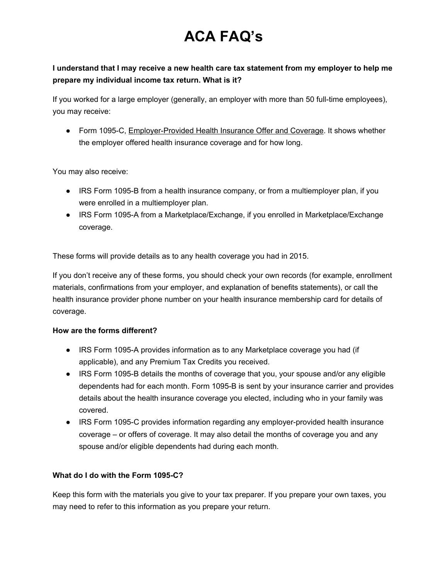# **ACA FAQ's**

## **I understand that I may receive a new health care tax statement from my employer to help me prepare my individual income tax return. What is it?**

If you worked for a large employer (generally, an employer with more than 50 full-time employees), you may receive:

• Form 1095-C, Employer-Provided Health Insurance Offer and Coverage. It shows whether the employer offered health insurance coverage and for how long.

You may also receive:

- IRS Form 1095-B from a health insurance company, or from a multiemployer plan, if you were enrolled in a multiemployer plan.
- IRS Form 1095-A from a Marketplace/Exchange, if you enrolled in Marketplace/Exchange coverage.

These forms will provide details as to any health coverage you had in 2015.

If you don't receive any of these forms, you should check your own records (for example, enrollment materials, confirmations from your employer, and explanation of benefits statements), or call the health insurance provider phone number on your health insurance membership card for details of coverage.

#### **How are the forms different?**

- IRS Form 1095A provides information as to any Marketplace coverage you had (if applicable), and any Premium Tax Credits you received.
- IRS Form 1095-B details the months of coverage that you, your spouse and/or any eligible dependents had for each month. Form 1095-B is sent by your insurance carrier and provides details about the health insurance coverage you elected, including who in your family was covered.
- IRS Form 1095-C provides information regarding any employer-provided health insurance coverage – or offers of coverage. It may also detail the months of coverage you and any spouse and/or eligible dependents had during each month.

### **What do I do with the Form 1095C?**

Keep this form with the materials you give to your tax preparer. If you prepare your own taxes, you may need to refer to this information as you prepare your return.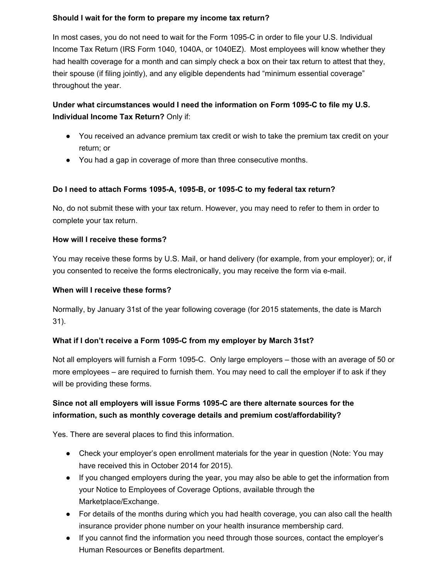#### **Should I wait for the form to prepare my income tax return?**

In most cases, you do not need to wait for the Form 1095-C in order to file your U.S. Individual Income Tax Return (IRS Form 1040, 1040A, or 1040EZ). Most employees will know whether they had health coverage for a month and can simply check a box on their tax return to attest that they, their spouse (if filing jointly), and any eligible dependents had "minimum essential coverage" throughout the year.

## **Under what circumstances would I need the information on Form 1095C to file my U.S. Individual Income Tax Return?** Only if:

- You received an advance premium tax credit or wish to take the premium tax credit on your return; or
- You had a gap in coverage of more than three consecutive months.

#### **Do I need to attach Forms 1095A, 1095B, or 1095C to my federal tax return?**

No, do not submit these with your tax return. However, you may need to refer to them in order to complete your tax return.

#### **How will I receive these forms?**

You may receive these forms by U.S. Mail, or hand delivery (for example, from your employer); or, if you consented to receive the forms electronically, you may receive the form via e-mail.

#### **When will I receive these forms?**

Normally, by January 31st of the year following coverage (for 2015 statements, the date is March 31).

#### **What if I don't receive a Form 1095C from my employer by March 31st?**

Not all employers will furnish a Form 1095-C. Only large employers – those with an average of 50 or more employees – are required to furnish them. You may need to call the employer if to ask if they will be providing these forms.

## **Since not all employers will issue Forms 1095C are there alternate sources for the information, such as monthly coverage details and premium cost/affordability?**

Yes. There are several places to find this information.

- Check your employer's open enrollment materials for the year in question (Note: You may have received this in October 2014 for 2015).
- If you changed employers during the year, you may also be able to get the information from your Notice to Employees of Coverage Options, available through the Marketplace/Exchange.
- For details of the months during which you had health coverage, you can also call the health insurance provider phone number on your health insurance membership card.
- If you cannot find the information you need through those sources, contact the employer's Human Resources or Benefits department.